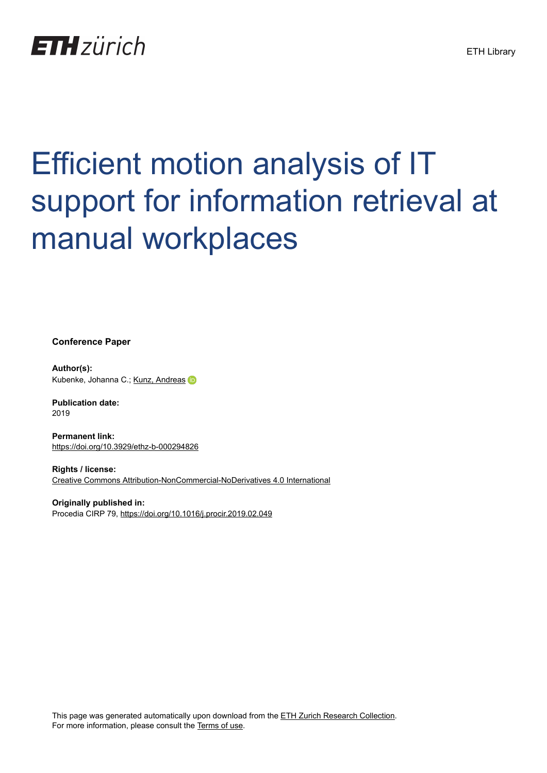

# Efficient motion analysis of IT support for information retrieval at manual workplaces

**Conference Paper**

**Author(s):** Kubenke, Johanna C.; [Kunz, Andreas](https://orcid.org/0000-0002-6495-4327) D

**Publication date:** 2019

**Permanent link:** <https://doi.org/10.3929/ethz-b-000294826>

**Rights / license:** [Creative Commons Attribution-NonCommercial-NoDerivatives 4.0 International](http://creativecommons.org/licenses/by-nc-nd/4.0/)

**Originally published in:** Procedia CIRP 79,<https://doi.org/10.1016/j.procir.2019.02.049>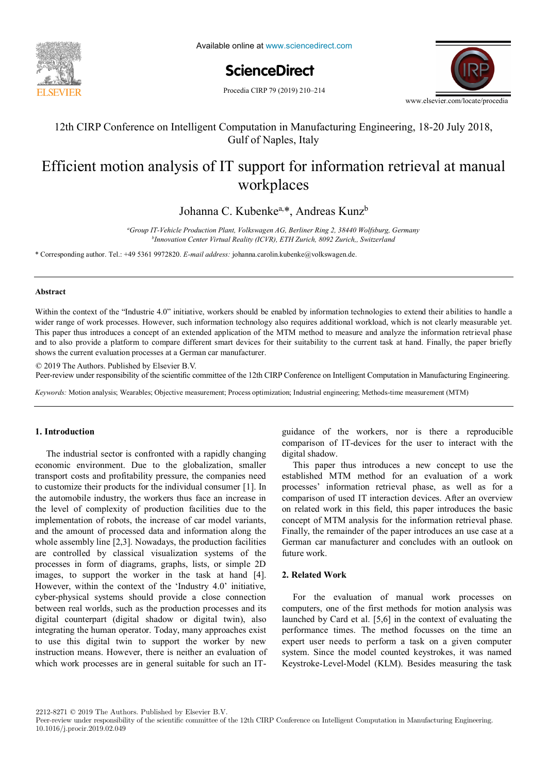



Procedia CIRP 79 (2019) 210-214



# 12th CIRP Conference on Intelligent Computation in Manufacturing Engineering, 18-20 July 2018, Gulf of Naples, Italy

#### $E_{\rm c}$  design conference and  $\sum_{i=1}^{n} E_{\rm c}$  support for information retrieval at manual  $A$  new methodology to analyze the functional and physical architecture of  $\mathbb{R}$ support for Efficient motion analysis of IT support for information retrieval at manual workplaces

existing products for an assembly oriented product family identification Johanna C. Kubenkea, \*, Andreas Kunzb *Group IT-Vehicle Production Plant, Volkswagen AG, Berliner Ring 2, 38440 Wolfsburg, Germany* Johanna C. Kubenke<sup>a,\*</sup>, Andreas Kunz<sup>b</sup>

"Group IT-Vehicle Production Plant, Volkswagen AG, Berliner Ring 2, 38440 Wolfsburg, Germany *École Nationale Supérieure d'Arts et Métiers, Arts et Métiers ParisTech, LCFC EA 4495, 4 Rue Augustin Fresnel, Metz 57078, France*  <sup>*b*</sup>Innovation Center Virtual Reality (ICVR), ETH Zurich, 8092 Zurich,, Switzerland

\* Corresponding author. Tel.: +49 5361 9972820. *E-mail address:* johanna.carolin.kubenke@volkswagen.de.

#### **Abstract**

Within the context of the "Industrie 4.0" initiative, workers should be enabled by information technologies to extend their abilities to handle a This paper thus introduces a concept of an extended application of the MTM method to measure and analyze the information retrieval phase and to also provide a platform to compare different smart devices for their suitability to the current task at hand. Finally, the paper briefly shows the current evaluation processes at a German car manufacturer. analyze a product family on the physical level. Different product family on the physical level. Different product families, however, may different product families,  $\frac{1}{2}$ wider range of work processes. However, such information technology also requires additional workload, which is not clearly measurable yet. Within the context of the "Industrie 4.0" initiative, workers should be enabled by information technologies to extend their abilities to handle a wider range of work processes. However, such information technology also req

 $\degree$  2019 The Althors. Published by Eisevier B.V. Peer-review under responsibility of the scientific committee of the 12th CIRP Conference on Intelligent Computation in Manufacturing Engineering. © 2019 The Authors. Published by Elsevier B.V.

a functional analysis is performed. Moreover, a hybrid functional and physical architecture graph (HyFPAG) is the output which depicts the

Keywords: Motion analysis: Wearables: Objective measurement: Process ontimization: Industrial engineering: Methods-time measurement (MTM) Keywords: Motion analysis; Wearables; Objective measurement; Process optimization; Industrial engineering; Methods-time measurement (MTM) *Keywords:* Motion analysis; Wearables; Objective measurement; Process optimization; Industrial engineering; Methods-time measurement (MTM)

#### **1. Introduction**

The industrial sector is confronted with a rapidly changing economic environment. Due to the globalization, smaller This paper thus intro transport costs and profitability pressure, the companies need implementation of robots, the increase of car model variants, whole assembly line [2,3]. Nowadays, the production facilities are controlled by classical visualization systems of the processes in form of diagrams, graphs, lists, or simple 2D images, to support the worker in the task at hand [4]. However, within the context of the 'Industry 4.0' initiative, cyber-physical systems should provide a close connection between real worlds, such as the production processes and its digital counterpart (digital shadow or digital twin), also integrating the human operator. Today, many approaches exist to use this digital twin to support the worker by new instruction means. However, there is neither an evaluation of which work processes are in general suitable for such an ITto customize their products for the individual consumer [1]. In the automobile industry, the workers thus face an increase in the level of complexity of production facilities due to the and the amount of processed data and information along the

1. Introduction guidance of the workers, nor is there a reproducible comparison of IT-devices for the user to interact with the digital shadow. The user to interact with the user to interact with the user to interact with the user to interact with the user to interact with the user to interact with the user to interact with the user to interact wit

> concept of MTM analysis for the information retrieval phase. Finally, the remainder of the paper introduces an use case at a German car manufacturer and concludes with an outlook on future work. This paper thus introduces a new concept to use the established MTM method for an evaluation of a work processes' information retrieval phase, as well as for a comparison of used IT interaction devices. After an overview on related work in this field, this paper introduces the basic

# new product families. It can be observed that classical existing **2. Related Work**

For the evaluation of manual work processes on computers, one of the first methods for motion analysis was launched by Card et al. [5,6] in the context of evaluating the performance times. The method focusses on the time an expert user needs to perform a task on a given computer system. Since the model counted keystrokes, it was named Keystroke-Level-Model (KLM). Besides measuring the task

 $2212-8271 \odot 2019$  The Authors. Published by Elsevier B.V.

Peer-review under responsibility of the scientific committee of the 12th CIRP Conference on Intelligent Computation in Manufacturing Engineering. 10.1016/j.procir.2019.02.049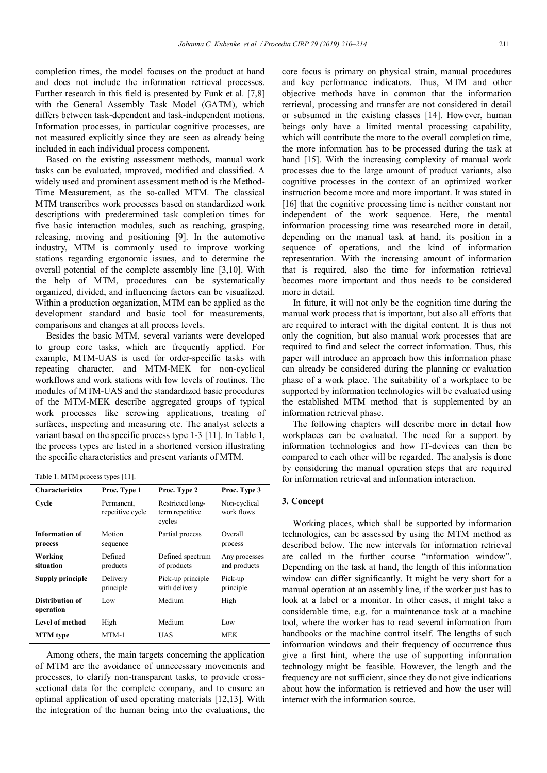completion times, the model focuses on the product at hand and does not include the information retrieval processes. Further research in this field is presented by Funk et al. [7,8] with the General Assembly Task Model (GATM), which differs between task-dependent and task-independent motions. Information processes, in particular cognitive processes, are not measured explicitly since they are seen as already being included in each individual process component.

Based on the existing assessment methods, manual work tasks can be evaluated, improved, modified and classified. A widely used and prominent assessment method is the Method-Time Measurement, as the so-called MTM. The classical MTM transcribes work processes based on standardized work descriptions with predetermined task completion times for five basic interaction modules, such as reaching, grasping, releasing, moving and positioning [9]. In the automotive industry, MTM is commonly used to improve working stations regarding ergonomic issues, and to determine the overall potential of the complete assembly line [3,10]. With the help of MTM, procedures can be systematically organized, divided, and influencing factors can be visualized. Within a production organization, MTM can be applied as the development standard and basic tool for measurements, comparisons and changes at all process levels.

Besides the basic MTM, several variants were developed to group core tasks, which are frequently applied. For example, MTM-UAS is used for order-specific tasks with repeating character, and MTM-MEK for non-cyclical workflows and work stations with low levels of routines. The modules of MTM-UAS and the standardized basic procedures of the MTM-MEK describe aggregated groups of typical work processes like screwing applications, treating of surfaces, inspecting and measuring etc. The analyst selects a variant based on the specific process type 1-3 [11]. In Table 1, the process types are listed in a shortened version illustrating the specific characteristics and present variants of MTM.

Table 1. MTM process types [11].

| <b>Characteristics</b>       | Proc. Type 1                   | Proc. Type 2                                  | Proc. Type 3                  |
|------------------------------|--------------------------------|-----------------------------------------------|-------------------------------|
| Cycle                        | Permanent,<br>repetitive cycle | Restricted long-<br>term repetitive<br>cycles | Non-cyclical<br>work flows    |
| Information of<br>process    | Motion<br>sequence             | Partial process                               | Overall<br>process            |
| Working<br>situation         | Defined<br>products            | Defined spectrum<br>of products               | Any processes<br>and products |
| Supply principle             | Delivery<br>principle          | Pick-up principle<br>with delivery            | Pick-up<br>principle          |
| Distribution of<br>operation | Low                            | Medium                                        | High                          |
| <b>Level of method</b>       | High                           | Medium                                        | Low                           |
| <b>MTM</b> type              | $MTM-1$                        | UAS                                           | <b>MEK</b>                    |

Among others, the main targets concerning the application of MTM are the avoidance of unnecessary movements and processes, to clarify non-transparent tasks, to provide crosssectional data for the complete company, and to ensure an optimal application of used operating materials [12,13]. With the integration of the human being into the evaluations, the core focus is primary on physical strain, manual procedures and key performance indicators. Thus, MTM and other objective methods have in common that the information retrieval, processing and transfer are not considered in detail or subsumed in the existing classes [14]. However, human beings only have a limited mental processing capability, which will contribute the more to the overall completion time, the more information has to be processed during the task at hand [15]. With the increasing complexity of manual work processes due to the large amount of product variants, also cognitive processes in the context of an optimized worker instruction become more and more important. It was stated in [16] that the cognitive processing time is neither constant nor independent of the work sequence. Here, the mental information processing time was researched more in detail, depending on the manual task at hand, its position in a sequence of operations, and the kind of information representation. With the increasing amount of information that is required, also the time for information retrieval becomes more important and thus needs to be considered more in detail.

In future, it will not only be the cognition time during the manual work process that is important, but also all efforts that are required to interact with the digital content. It is thus not only the cognition, but also manual work processes that are required to find and select the correct information. Thus, this paper will introduce an approach how this information phase can already be considered during the planning or evaluation phase of a work place. The suitability of a workplace to be supported by information technologies will be evaluated using the established MTM method that is supplemented by an information retrieval phase.

The following chapters will describe more in detail how workplaces can be evaluated. The need for a support by information technologies and how IT-devices can then be compared to each other will be regarded. The analysis is done by considering the manual operation steps that are required for information retrieval and information interaction.

#### **3. Concept**

Working places, which shall be supported by information technologies, can be assessed by using the MTM method as described below. The new intervals for information retrieval are called in the further course "information window". Depending on the task at hand, the length of this information window can differ significantly. It might be very short for a manual operation at an assembly line, if the worker just has to look at a label or a monitor. In other cases, it might take a considerable time, e.g. for a maintenance task at a machine tool, where the worker has to read several information from handbooks or the machine control itself. The lengths of such information windows and their frequency of occurrence thus give a first hint, where the use of supporting information technology might be feasible. However, the length and the frequency are not sufficient, since they do not give indications about how the information is retrieved and how the user will interact with the information source.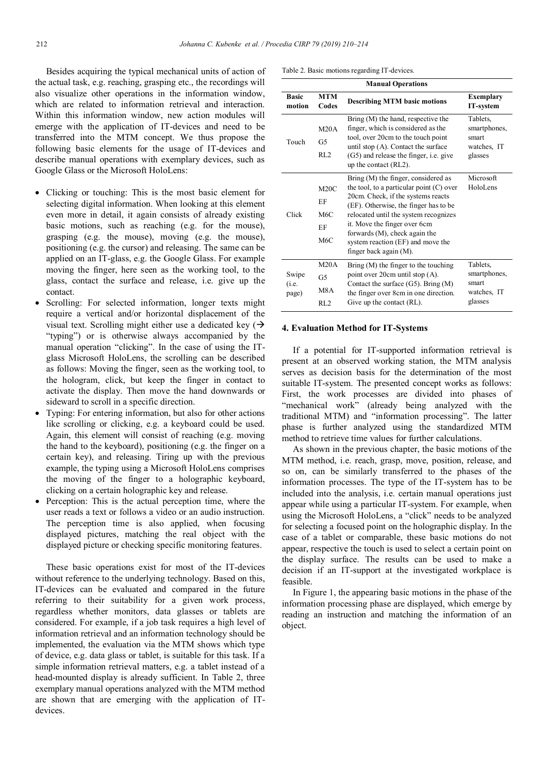Besides acquiring the typical mechanical units of action of the actual task, e.g. reaching, grasping etc., the recordings will also visualize other operations in the information window, which are related to information retrieval and interaction. Within this information window, new action modules will emerge with the application of IT-devices and need to be transferred into the MTM concept. We thus propose the following basic elements for the usage of IT-devices and describe manual operations with exemplary devices, such as Google Glass or the Microsoft HoloLens:

- Clicking or touching: This is the most basic element for selecting digital information. When looking at this element even more in detail, it again consists of already existing basic motions, such as reaching (e.g. for the mouse), grasping (e.g. the mouse), moving (e.g. the mouse), positioning (e.g. the cursor) and releasing. The same can be applied on an IT-glass, e.g. the Google Glass. For example moving the finger, here seen as the working tool, to the glass, contact the surface and release, i.e. give up the contact.
- Scrolling: For selected information, longer texts might require a vertical and/or horizontal displacement of the visual text. Scrolling might either use a dedicated key  $(\rightarrow)$ "typing") or is otherwise always accompanied by the manual operation "clicking". In the case of using the ITglass Microsoft HoloLens, the scrolling can be described as follows: Moving the finger, seen as the working tool, to the hologram, click, but keep the finger in contact to activate the display. Then move the hand downwards or sideward to scroll in a specific direction.
- Typing: For entering information, but also for other actions like scrolling or clicking, e.g. a keyboard could be used. Again, this element will consist of reaching (e.g. moving the hand to the keyboard), positioning (e.g. the finger on a certain key), and releasing. Tiring up with the previous example, the typing using a Microsoft HoloLens comprises the moving of the finger to a holographic keyboard, clicking on a certain holographic key and release.
- Perception: This is the actual perception time, where the user reads a text or follows a video or an audio instruction. The perception time is also applied, when focusing displayed pictures, matching the real object with the displayed picture or checking specific monitoring features.

These basic operations exist for most of the IT-devices without reference to the underlying technology. Based on this, IT-devices can be evaluated and compared in the future referring to their suitability for a given work process, regardless whether monitors, data glasses or tablets are considered. For example, if a job task requires a high level of information retrieval and an information technology should be implemented, the evaluation via the MTM shows which type of device, e.g. data glass or tablet, is suitable for this task. If a simple information retrieval matters, e.g. a tablet instead of a head-mounted display is already sufficient. In Table 2, three exemplary manual operations analyzed with the MTM method are shown that are emerging with the application of ITdevices.

Table 2. Basic motions regarding IT-devices.

| <b>Manual Operations</b> |                                            |                                                                                                                                                                                                                                                                                                                                              |                                                             |  |  |
|--------------------------|--------------------------------------------|----------------------------------------------------------------------------------------------------------------------------------------------------------------------------------------------------------------------------------------------------------------------------------------------------------------------------------------------|-------------------------------------------------------------|--|--|
| <b>Basic</b><br>motion   | <b>MTM</b><br>Codes                        | <b>Describing MTM basic motions</b>                                                                                                                                                                                                                                                                                                          | <b>Exemplary</b><br>IT-system                               |  |  |
| Touch                    | M20A<br>G <sub>5</sub><br>R <sub>L</sub> 2 | Bring (M) the hand, respective the<br>finger, which is considered as the<br>tool, over 20cm to the touch point<br>until stop $(A)$ . Contact the surface<br>(G5) and release the finger, <i>i.e.</i> give<br>up the contact (RL2).                                                                                                           | Tablets.<br>smartphones,<br>smart<br>watches, IT<br>glasses |  |  |
| Click                    | M20C<br>EF<br>M6C<br>EF<br>M6C             | Bring (M) the finger, considered as<br>the tool, to a particular point $(C)$ over<br>20cm. Check, if the systems reacts<br>(EF). Otherwise, the finger has to be<br>relocated until the system recognizes<br>it. Move the finger over 6cm<br>forwards (M), check again the<br>system reaction (EF) and move the<br>finger back again $(M)$ . | Microsoft<br>HoloLens                                       |  |  |
| Swipe<br>(i.e.<br>page)  | M20A<br>G5<br>M8A<br>R1.2                  | Bring $(M)$ the finger to the touching<br>point over 20cm until stop (A).<br>Contact the surface $(G5)$ . Bring $(M)$<br>the finger over 8cm in one direction.<br>Give up the contact (RL).                                                                                                                                                  | Tablets,<br>smartphones,<br>smart<br>watches, IT<br>glasses |  |  |

# **4. Evaluation Method for IT-Systems**

If a potential for IT-supported information retrieval is present at an observed working station, the MTM analysis serves as decision basis for the determination of the most suitable IT-system. The presented concept works as follows: First, the work processes are divided into phases of "mechanical work" (already being analyzed with the traditional MTM) and "information processing". The latter phase is further analyzed using the standardized MTM method to retrieve time values for further calculations.

As shown in the previous chapter, the basic motions of the MTM method, i.e. reach, grasp, move, position, release, and so on, can be similarly transferred to the phases of the information processes. The type of the IT-system has to be included into the analysis, i.e. certain manual operations just appear while using a particular IT-system. For example, when using the Microsoft HoloLens, a "click" needs to be analyzed for selecting a focused point on the holographic display. In the case of a tablet or comparable, these basic motions do not appear, respective the touch is used to select a certain point on the display surface. The results can be used to make a decision if an IT-support at the investigated workplace is feasible.

In Figure 1, the appearing basic motions in the phase of the information processing phase are displayed, which emerge by reading an instruction and matching the information of an object.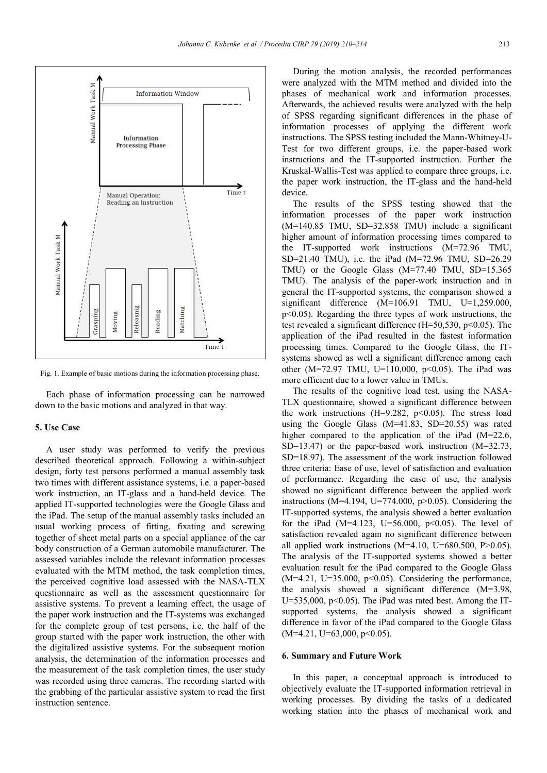

Fig. 1. Example of basic motions during the information processing phase.

Each phase of information processing can be narrowed down to the basic motions and analyzed in that way.

#### **5. Use Case**

A user study was performed to verify the previous described theoretical approach. Following a within-subject design, forty test persons performed a manual assembly task two times with different assistance systems, i.e. a paper-based work instruction, an IT-glass and a hand-held device. The applied IT-supported technologies were the Google Glass and the iPad. The setup of the manual assembly tasks included an usual working process of fitting, fixating and screwing together of sheet metal parts on a special appliance of the car body construction of a German automobile manufacturer. The assessed variables include the relevant information processes evaluated with the MTM method, the task completion times, the perceived cognitive load assessed with the NASA-TLX questionnaire as well as the assessment questionnaire for assistive systems. To prevent a learning effect, the usage of the paper work instruction and the IT-systems was exchanged for the complete group of test persons, i.e. the half of the group started with the paper work instruction, the other with the digitalized assistive systems. For the subsequent motion analysis, the determination of the information processes and the measurement of the task completion times, the user study was recorded using three cameras. The recording started with the grabbing of the particular assistive system to read the first instruction sentence.

During the motion analysis, the recorded performances were analyzed with the MTM method and divided into the phases of mechanical work and information processes. Afterwards, the achieved results were analyzed with the help of SPSS regarding significant differences in the phase of information processes of applying the different work instructions. The SPSS testing included the Mann-Whitney-U-Test for two different groups, i.e. the paper-based work instructions and the IT-supported instruction. Further the Kruskal-Wallis-Test was applied to compare three groups, i.e. the paper work instruction, the IT-glass and the hand-held device.

The results of the SPSS testing showed that the information processes of the paper work instruction (M=140.85 TMU, SD=32.858 TMU) include a significant higher amount of information processing times compared to the IT-supported work instructions (M=72.96 TMU, SD=21.40 TMU), i.e. the iPad (M=72.96 TMU, SD=26.29 TMU) or the Google Glass (M=77.40 TMU, SD=15.365 TMU). The analysis of the paper-work instruction and in general the IT-supported systems, the comparison showed a significant difference (M=106.91 TMU, U=1,259.000, p<0.05). Regarding the three types of work instructions, the test revealed a significant difference (H=50,530,  $p$ <0.05). The application of the iPad resulted in the fastest information processing times. Compared to the Google Glass, the ITsystems showed as well a significant difference among each other (M=72.97 TMU, U=110,000, p<0.05). The iPad was more efficient due to a lower value in TMUs.

The results of the cognitive load test, using the NASA-TLX questionnaire, showed a significant difference between the work instructions (H=9.282,  $p<0.05$ ). The stress load using the Google Glass (M=41.83, SD=20.55) was rated higher compared to the application of the iPad (M=22.6, SD=13.47) or the paper-based work instruction (M=32.73, SD=18.97). The assessment of the work instruction followed three criteria: Ease of use, level of satisfaction and evaluation of performance. Regarding the ease of use, the analysis showed no significant difference between the applied work instructions (M=4.194, U=774.000,  $p>0.05$ ). Considering the IT-supported systems, the analysis showed a better evaluation for the iPad  $(M=4.123, U=56.000, p<0.05)$ . The level of satisfaction revealed again no significant difference between all applied work instructions ( $M=4.10$ ,  $U=680.500$ ,  $P>0.05$ ). The analysis of the IT-supported systems showed a better evaluation result for the iPad compared to the Google Glass  $(M=4.21, U=35.000, p<0.05)$ . Considering the performance, the analysis showed a significant difference (M=3.98, U=535,000,  $p<0.05$ ). The iPad was rated best. Among the ITsupported systems, the analysis showed a significant difference in favor of the iPad compared to the Google Glass  $(M=4.21, U=63,000, p<0.05)$ .

# **6. Summary and Future Work**

In this paper, a conceptual approach is introduced to objectively evaluate the IT-supported information retrieval in working processes. By dividing the tasks of a dedicated working station into the phases of mechanical work and